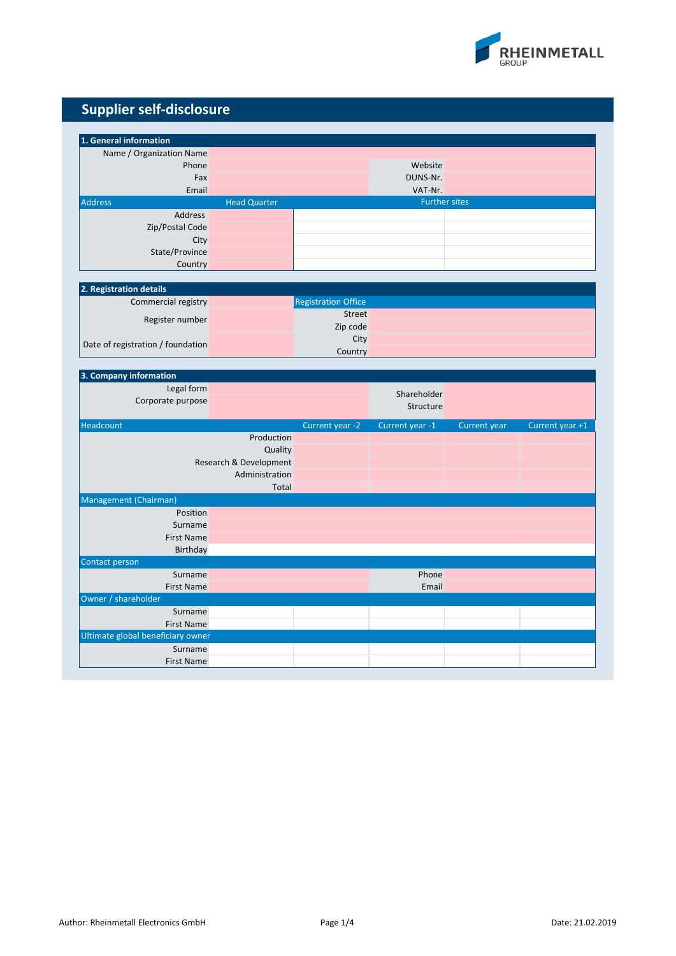

| 1. General information                   |                        |                            |                      |              |                 |
|------------------------------------------|------------------------|----------------------------|----------------------|--------------|-----------------|
| Name / Organization Name                 |                        |                            |                      |              |                 |
| Phone                                    |                        |                            | Website              |              |                 |
| Fax                                      |                        |                            | DUNS-Nr.             |              |                 |
| Email                                    |                        |                            | VAT-Nr.              |              |                 |
| <b>Address</b>                           | <b>Head Quarter</b>    |                            | <b>Further sites</b> |              |                 |
| Address                                  |                        |                            |                      |              |                 |
| Zip/Postal Code                          |                        |                            |                      |              |                 |
| City                                     |                        |                            |                      |              |                 |
| State/Province                           |                        |                            |                      |              |                 |
| Country                                  |                        |                            |                      |              |                 |
| 2. Registration details                  |                        |                            |                      |              |                 |
| Commercial registry                      |                        | <b>Registration Office</b> |                      |              |                 |
|                                          |                        | Street                     |                      |              |                 |
| Register number                          |                        | Zip code                   |                      |              |                 |
|                                          |                        | City                       |                      |              |                 |
| Date of registration / foundation        |                        | Country                    |                      |              |                 |
|                                          |                        |                            |                      |              |                 |
| 3. Company information                   |                        |                            |                      |              |                 |
| Legal form                               |                        |                            | Shareholder          |              |                 |
| Corporate purpose                        |                        |                            | Structure            |              |                 |
|                                          |                        |                            |                      |              |                 |
| Headcount                                |                        | Current year -2            | Current year -1      | Current year | Current year +1 |
|                                          | Production             |                            |                      |              |                 |
|                                          | Quality                |                            |                      |              |                 |
|                                          | Research & Development |                            |                      |              |                 |
|                                          | Administration         |                            |                      |              |                 |
|                                          | <b>Total</b>           |                            |                      |              |                 |
| Management (Chairman)                    |                        |                            |                      |              |                 |
| Position                                 |                        |                            |                      |              |                 |
| Surname                                  |                        |                            |                      |              |                 |
| <b>First Name</b>                        |                        |                            |                      |              |                 |
| Birthday                                 |                        |                            |                      |              |                 |
| Contact person                           |                        |                            |                      |              |                 |
| Surname                                  |                        |                            | Phone                |              |                 |
| <b>First Name</b><br>Owner / shareholder |                        |                            | Email                |              |                 |
| Surname                                  |                        |                            |                      |              |                 |
| <b>First Name</b>                        |                        |                            |                      |              |                 |
| Ultimate global beneficiary owner        |                        |                            |                      |              |                 |
| Surname                                  |                        |                            |                      |              |                 |
| <b>First Name</b>                        |                        |                            |                      |              |                 |
|                                          |                        |                            |                      |              |                 |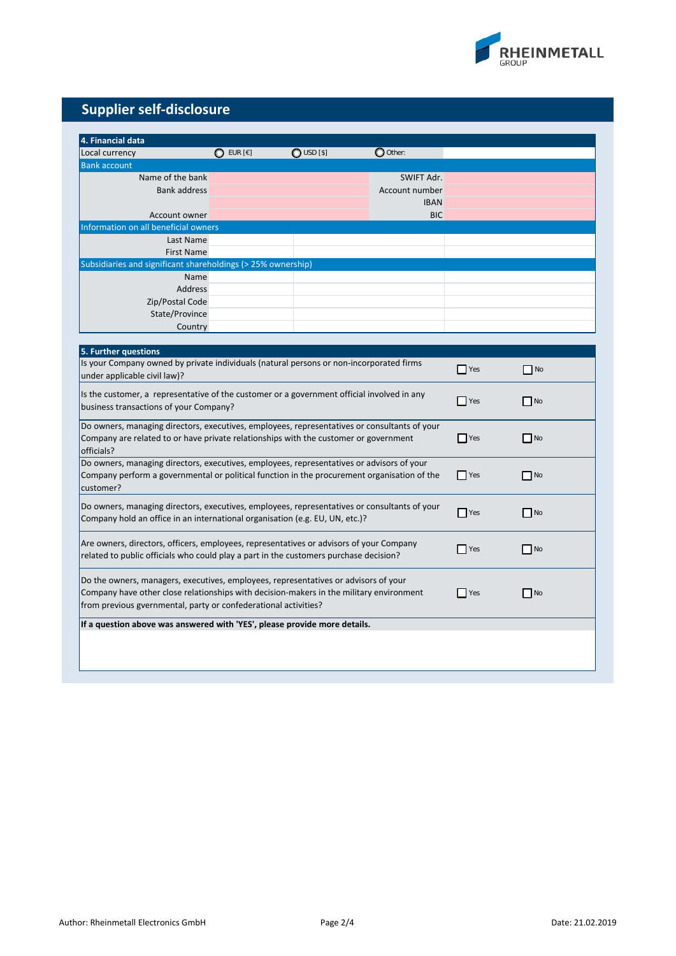

| 4. Financial data                                                                            |                    |              |                |                    |           |
|----------------------------------------------------------------------------------------------|--------------------|--------------|----------------|--------------------|-----------|
| Local currency                                                                               | $\bigcirc$ eur [€] | $O$ USD [\$] | O Other:       |                    |           |
| <b>Bank account</b>                                                                          |                    |              |                |                    |           |
| Name of the bank                                                                             |                    |              | SWIFT Adr.     |                    |           |
| <b>Bank address</b>                                                                          |                    |              | Account number |                    |           |
|                                                                                              |                    |              | <b>IBAN</b>    |                    |           |
| Account owner                                                                                |                    |              | <b>BIC</b>     |                    |           |
| Information on all beneficial owners                                                         |                    |              |                |                    |           |
| Last Name                                                                                    |                    |              |                |                    |           |
| <b>First Name</b>                                                                            |                    |              |                |                    |           |
| Subsidiaries and significant shareholdings (> 25% ownership)                                 |                    |              |                |                    |           |
| Name                                                                                         |                    |              |                |                    |           |
| Address                                                                                      |                    |              |                |                    |           |
| Zip/Postal Code                                                                              |                    |              |                |                    |           |
| State/Province                                                                               |                    |              |                |                    |           |
| Country                                                                                      |                    |              |                |                    |           |
|                                                                                              |                    |              |                |                    |           |
| 5. Further questions                                                                         |                    |              |                |                    |           |
| Is your Company owned by private individuals (natural persons or non-incorporated firms      |                    |              |                |                    |           |
| under applicable civil law)?                                                                 |                    |              |                | $\blacksquare$ Yes | $\Box$ No |
|                                                                                              |                    |              |                |                    |           |
| Is the customer, a representative of the customer or a government official involved in any   |                    |              |                | $\blacksquare$ Yes | $\Box$ No |
| business transactions of your Company?                                                       |                    |              |                |                    |           |
| Do owners, managing directors, executives, employees, representatives or consultants of your |                    |              |                |                    |           |
| Company are related to or have private relationships with the customer or government         |                    |              | $\Box$ Yes     | $\Box$ No          |           |
| officials?                                                                                   |                    |              |                |                    |           |
| Do owners, managing directors, executives, employees, representatives or advisors of your    |                    |              |                |                    |           |
| Company perform a governmental or political function in the procurement organisation of the  |                    |              |                | $\blacksquare$ Yes | $\Box$ No |
| customer?                                                                                    |                    |              |                |                    |           |
|                                                                                              |                    |              |                |                    |           |
| Do owners, managing directors, executives, employees, representatives or consultants of your |                    |              |                | $\blacksquare$ Yes | $\Box$ No |
| Company hold an office in an international organisation (e.g. EU, UN, etc.)?                 |                    |              |                |                    |           |
|                                                                                              |                    |              |                |                    |           |
| Are owners, directors, officers, employees, representatives or advisors of your Company      |                    |              |                | <b>Yes</b>         | $N$ o     |
| related to public officials who could play a part in the customers purchase decision?        |                    |              |                |                    |           |
|                                                                                              |                    |              |                |                    |           |
| Do the owners, managers, executives, employees, representatives or advisors of your          |                    |              |                |                    |           |
| Company have other close relationships with decision-makers in the military environment      |                    |              |                | <b>Yes</b>         | N         |
| from previous gvernmental, party or confederational activities?                              |                    |              |                |                    |           |
| If a question above was answered with 'YES', please provide more details.                    |                    |              |                |                    |           |
|                                                                                              |                    |              |                |                    |           |
|                                                                                              |                    |              |                |                    |           |
|                                                                                              |                    |              |                |                    |           |
|                                                                                              |                    |              |                |                    |           |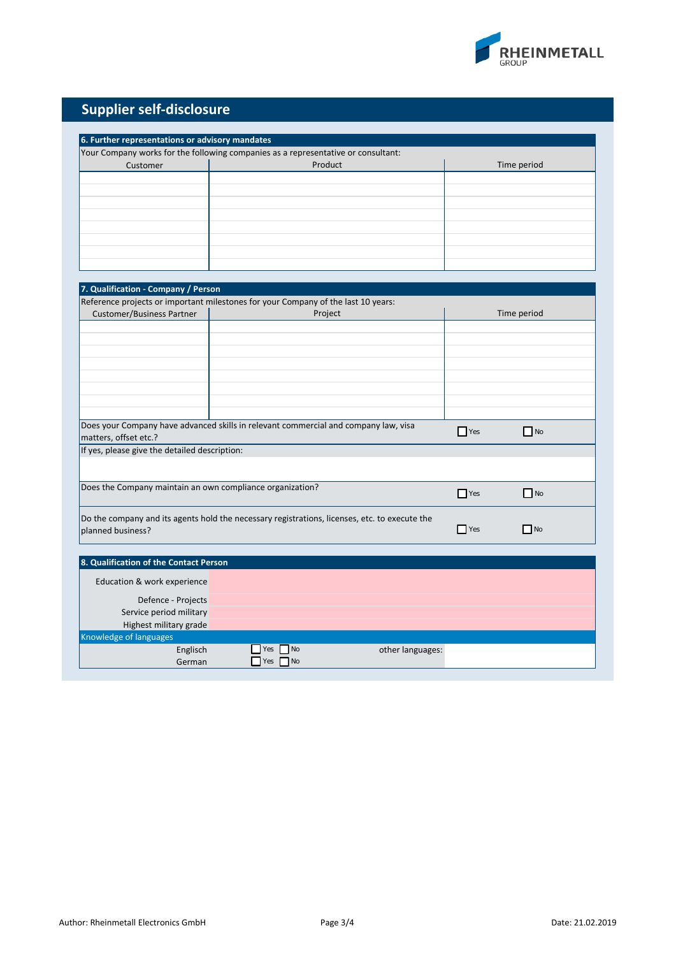

| 6. Further representations or advisory mandates           |                                                                                               |                    |           |  |  |
|-----------------------------------------------------------|-----------------------------------------------------------------------------------------------|--------------------|-----------|--|--|
|                                                           | Your Company works for the following companies as a representative or consultant:             |                    |           |  |  |
| Customer                                                  | Product                                                                                       | Time period        |           |  |  |
|                                                           |                                                                                               |                    |           |  |  |
|                                                           |                                                                                               |                    |           |  |  |
|                                                           |                                                                                               |                    |           |  |  |
|                                                           |                                                                                               |                    |           |  |  |
|                                                           |                                                                                               |                    |           |  |  |
|                                                           |                                                                                               |                    |           |  |  |
|                                                           |                                                                                               |                    |           |  |  |
|                                                           |                                                                                               |                    |           |  |  |
|                                                           |                                                                                               |                    |           |  |  |
| 7. Qualification - Company / Person                       |                                                                                               |                    |           |  |  |
|                                                           | Reference projects or important milestones for your Company of the last 10 years:             |                    |           |  |  |
| <b>Customer/Business Partner</b>                          | Project                                                                                       | Time period        |           |  |  |
|                                                           |                                                                                               |                    |           |  |  |
|                                                           |                                                                                               |                    |           |  |  |
|                                                           |                                                                                               |                    |           |  |  |
|                                                           |                                                                                               |                    |           |  |  |
|                                                           |                                                                                               |                    |           |  |  |
|                                                           |                                                                                               |                    |           |  |  |
|                                                           |                                                                                               |                    |           |  |  |
|                                                           |                                                                                               |                    |           |  |  |
|                                                           | Does your Company have advanced skills in relevant commercial and company law, visa           | $\Box$ Yes         | $\Box$ No |  |  |
| matters, offset etc.?                                     |                                                                                               |                    |           |  |  |
| If yes, please give the detailed description:             |                                                                                               |                    |           |  |  |
|                                                           |                                                                                               |                    |           |  |  |
|                                                           |                                                                                               |                    |           |  |  |
| Does the Company maintain an own compliance organization? |                                                                                               | $\Box$ Yes         | $\Box$ No |  |  |
|                                                           |                                                                                               |                    |           |  |  |
|                                                           | Do the company and its agents hold the necessary registrations, licenses, etc. to execute the |                    |           |  |  |
| planned business?                                         |                                                                                               | $\blacksquare$ Yes | $\Box$ No |  |  |
|                                                           |                                                                                               |                    |           |  |  |
| 8. Qualification of the Contact Person                    |                                                                                               |                    |           |  |  |
|                                                           |                                                                                               |                    |           |  |  |
| Education & work experience                               |                                                                                               |                    |           |  |  |
| Defence - Projects                                        |                                                                                               |                    |           |  |  |
| Service period military                                   |                                                                                               |                    |           |  |  |
| Highest military grade                                    |                                                                                               |                    |           |  |  |
| Knowledge of languages                                    |                                                                                               |                    |           |  |  |
| Englisch                                                  | Yes<br>N <sub>O</sub><br>other languages:                                                     |                    |           |  |  |
| German                                                    | Yes $\n  No\n$                                                                                |                    |           |  |  |